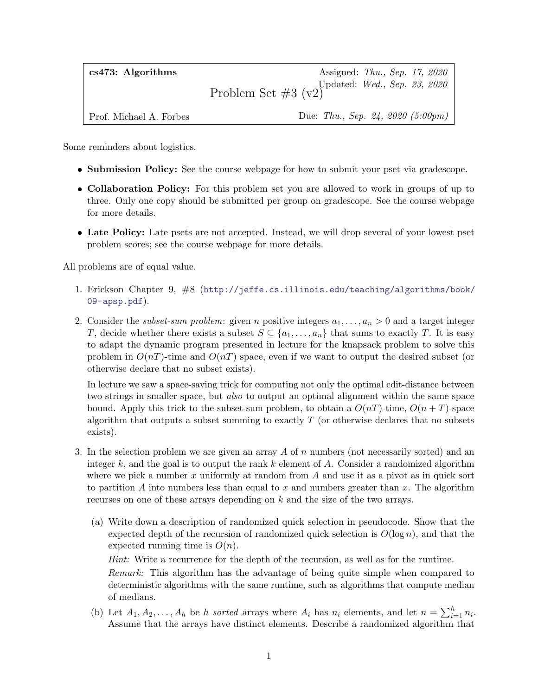| $cs473:$ Algorithms     | Assigned: <i>Thu.</i> , <i>Sep.</i> 17, 2020               |
|-------------------------|------------------------------------------------------------|
|                         | Problem Set $#3$ (v2) Updated: <i>Wed.</i> , Sep. 23, 2020 |
| Prof. Michael A. Forbes | Due: Thu., Sep. 24, 2020 (5:00pm)                          |

Some reminders about logistics.

- Submission Policy: See the course webpage for how to submit your pset via gradescope.
- Collaboration Policy: For this problem set you are allowed to work in groups of up to three. Only one copy should be submitted per group on gradescope. See the course webpage for more details.
- Late Policy: Late psets are not accepted. Instead, we will drop several of your lowest pset problem scores; see the course webpage for more details.

All problems are of equal value.

- 1. Erickson Chapter 9, #8 ([http://jeffe.cs.illinois.edu/teaching/algorithms/book/](http://jeffe.cs.illinois.edu/teaching/algorithms/book/09-apsp.pdf) [09-apsp.pdf](http://jeffe.cs.illinois.edu/teaching/algorithms/book/09-apsp.pdf)).
- 2. Consider the *subset-sum problem*: given *n* positive integers  $a_1, \ldots, a_n > 0$  and a target integer T, decide whether there exists a subset  $S \subseteq \{a_1, \ldots, a_n\}$  that sums to exactly T. It is easy to adapt the dynamic program presented in lecture for the knapsack problem to solve this problem in  $O(nT)$ -time and  $O(nT)$  space, even if we want to output the desired subset (or otherwise declare that no subset exists).

In lecture we saw a space-saving trick for computing not only the optimal edit-distance between two strings in smaller space, but *also* to output an optimal alignment within the same space bound. Apply this trick to the subset-sum problem, to obtain a  $O(nT)$ -time,  $O(n+T)$ -space algorithm that outputs a subset summing to exactly  $T$  (or otherwise declares that no subsets exists).

- 3. In the selection problem we are given an array A of n numbers (not necessarily sorted) and an integer k, and the goal is to output the rank k element of A. Consider a randomized algorithm where we pick a number x uniformly at random from  $A$  and use it as a pivot as in quick sort to partition A into numbers less than equal to x and numbers greater than x. The algorithm recurses on one of these arrays depending on k and the size of the two arrays.
	- (a) Write down a description of randomized quick selection in pseudocode. Show that the expected depth of the recursion of randomized quick selection is  $O(\log n)$ , and that the expected running time is  $O(n)$ .

Hint: Write a recurrence for the depth of the recursion, as well as for the runtime.

Remark: This algorithm has the advantage of being quite simple when compared to deterministic algorithms with the same runtime, such as algorithms that compute median of medians.

(b) Let  $A_1, A_2, \ldots, A_h$  be h sorted arrays where  $A_i$  has  $n_i$  elements, and let  $n = \sum_{i=1}^h n_i$ . Assume that the arrays have distinct elements. Describe a randomized algorithm that